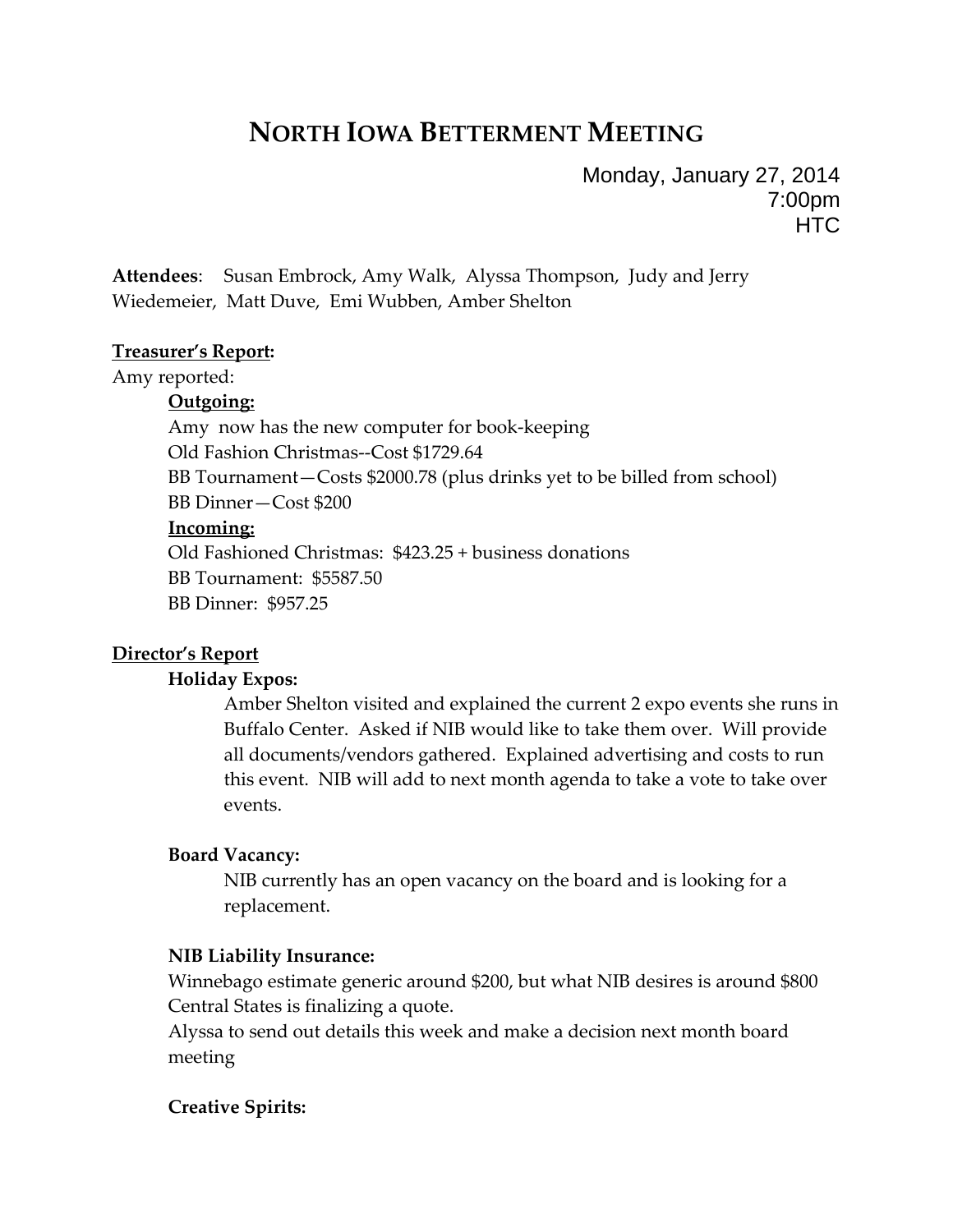# **NORTH IOWA BETTERMENT MEETING**

Monday, January 27, 2014 7:00pm **HTC** 

**Attendees**: Susan Embrock, Amy Walk, Alyssa Thompson, Judy and Jerry Wiedemeier, Matt Duve, Emi Wubben, Amber Shelton

#### **Treasurer's Report:**

Amy reported:

#### **Outgoing:**

Amy now has the new computer for book‐keeping Old Fashion Christmas‐‐Cost \$1729.64 BB Tournament—Costs \$2000.78 (plus drinks yet to be billed from school) BB Dinner—Cost \$200 **Incoming:** Old Fashioned Christmas: \$423.25 + business donations BB Tournament: \$5587.50 BB Dinner: \$957.25

### **Director's Report**

#### **Holiday Expos:**

Amber Shelton visited and explained the current 2 expo events she runs in Buffalo Center. Asked if NIB would like to take them over. Will provide all documents/vendors gathered. Explained advertising and costs to run this event. NIB will add to next month agenda to take a vote to take over events.

#### **Board Vacancy:**

NIB currently has an open vacancy on the board and is looking for a replacement.

#### **NIB Liability Insurance:**

Winnebago estimate generic around \$200, but what NIB desires is around \$800 Central States is finalizing a quote.

Alyssa to send out details this week and make a decision next month board meeting

### **Creative Spirits:**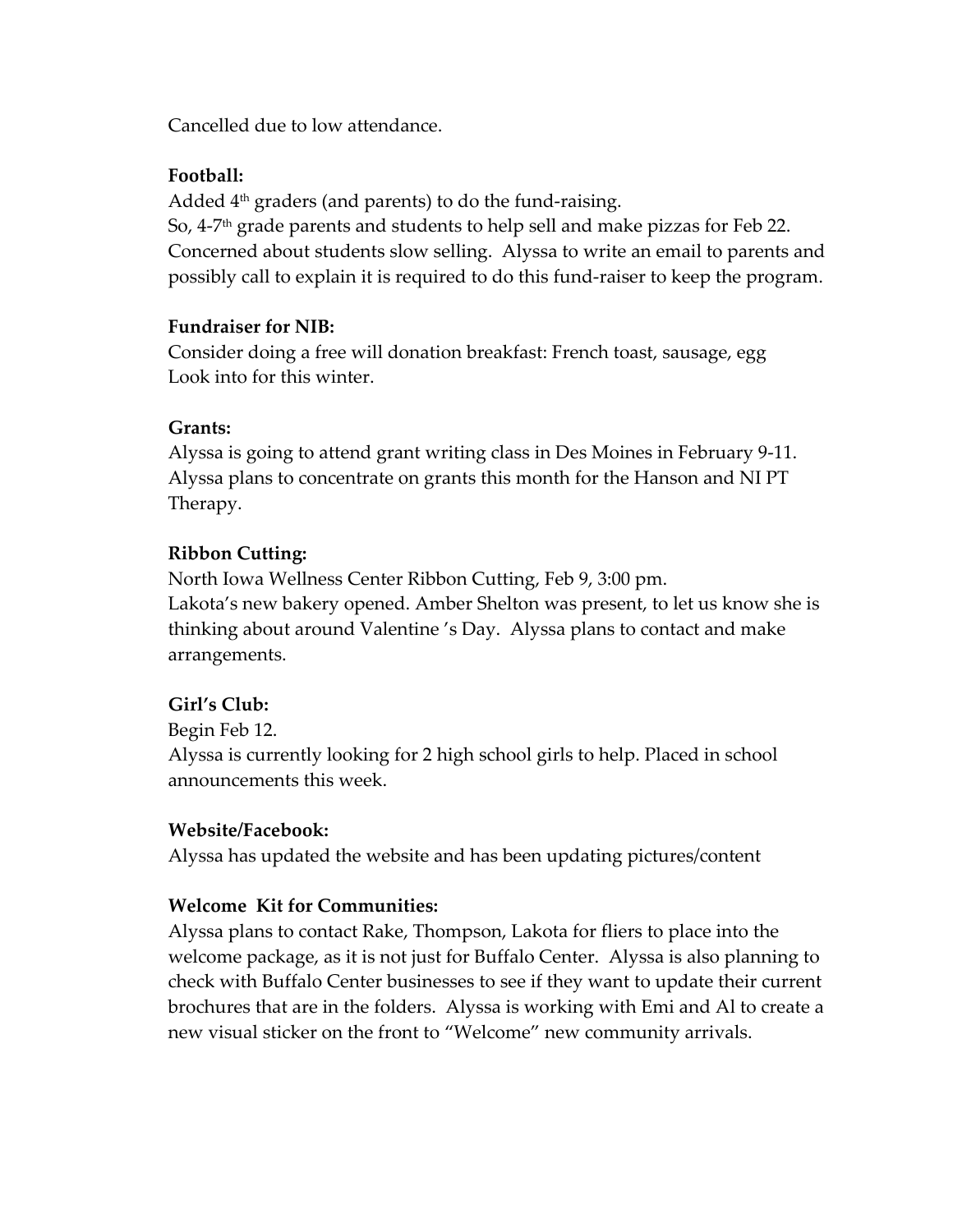Cancelled due to low attendance.

# **Football:**

Added  $4<sup>th</sup>$  graders (and parents) to do the fund-raising. So, 4‐7th grade parents and students to help sell and make pizzas for Feb 22. Concerned about students slow selling. Alyssa to write an email to parents and possibly call to explain it is required to do this fund‐raiser to keep the program.

# **Fundraiser for NIB:**

Consider doing a free will donation breakfast: French toast, sausage, egg Look into for this winter.

# **Grants:**

Alyssa is going to attend grant writing class in Des Moines in February 9‐11. Alyssa plans to concentrate on grants this month for the Hanson and NI PT Therapy.

# **Ribbon Cutting:**

North Iowa Wellness Center Ribbon Cutting, Feb 9, 3:00 pm. Lakota's new bakery opened. Amber Shelton was present, to let us know she is thinking about around Valentine 's Day. Alyssa plans to contact and make arrangements.

# **Girl's Club:**

Begin Feb 12.

Alyssa is currently looking for 2 high school girls to help. Placed in school announcements this week.

# **Website/Facebook:**

Alyssa has updated the website and has been updating pictures/content

# **Welcome Kit for Communities:**

Alyssa plans to contact Rake, Thompson, Lakota for fliers to place into the welcome package, as it is not just for Buffalo Center. Alyssa is also planning to check with Buffalo Center businesses to see if they want to update their current brochures that are in the folders. Alyssa is working with Emi and Al to create a new visual sticker on the front to "Welcome" new community arrivals.